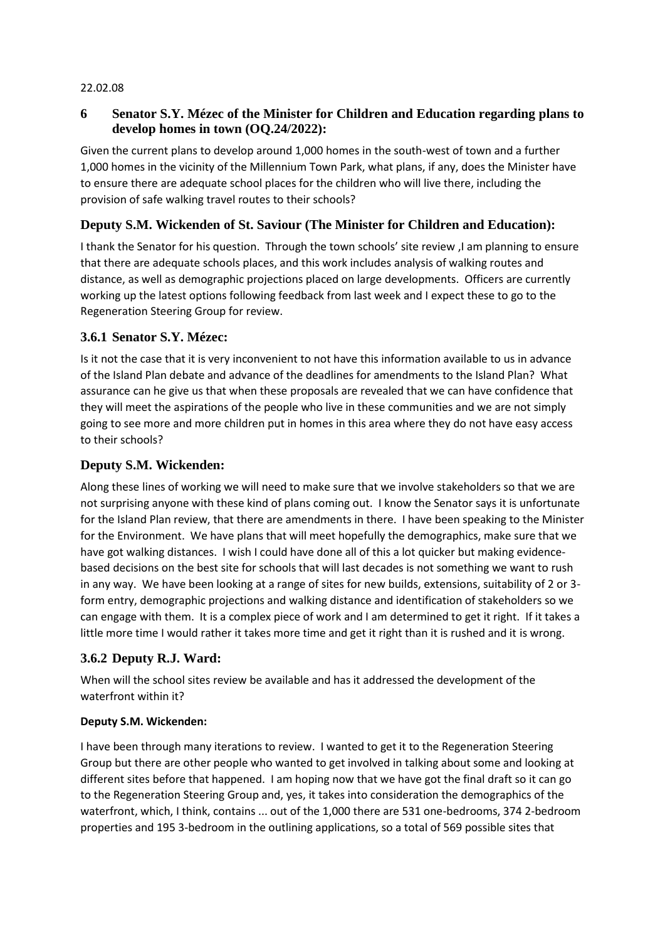#### 22.02.08

## **6 Senator S.Y. Mézec of the Minister for Children and Education regarding plans to develop homes in town (OQ.24/2022):**

Given the current plans to develop around 1,000 homes in the south-west of town and a further 1,000 homes in the vicinity of the Millennium Town Park, what plans, if any, does the Minister have to ensure there are adequate school places for the children who will live there, including the provision of safe walking travel routes to their schools?

## **Deputy S.M. Wickenden of St. Saviour (The Minister for Children and Education):**

I thank the Senator for his question. Through the town schools' site review ,I am planning to ensure that there are adequate schools places, and this work includes analysis of walking routes and distance, as well as demographic projections placed on large developments. Officers are currently working up the latest options following feedback from last week and I expect these to go to the Regeneration Steering Group for review.

### **3.6.1 Senator S.Y. Mézec:**

Is it not the case that it is very inconvenient to not have this information available to us in advance of the Island Plan debate and advance of the deadlines for amendments to the Island Plan? What assurance can he give us that when these proposals are revealed that we can have confidence that they will meet the aspirations of the people who live in these communities and we are not simply going to see more and more children put in homes in this area where they do not have easy access to their schools?

## **Deputy S.M. Wickenden:**

Along these lines of working we will need to make sure that we involve stakeholders so that we are not surprising anyone with these kind of plans coming out. I know the Senator says it is unfortunate for the Island Plan review, that there are amendments in there. I have been speaking to the Minister for the Environment. We have plans that will meet hopefully the demographics, make sure that we have got walking distances. I wish I could have done all of this a lot quicker but making evidencebased decisions on the best site for schools that will last decades is not something we want to rush in any way. We have been looking at a range of sites for new builds, extensions, suitability of 2 or 3 form entry, demographic projections and walking distance and identification of stakeholders so we can engage with them. It is a complex piece of work and I am determined to get it right. If it takes a little more time I would rather it takes more time and get it right than it is rushed and it is wrong.

# **3.6.2 Deputy R.J. Ward:**

When will the school sites review be available and has it addressed the development of the waterfront within it?

#### **Deputy S.M. Wickenden:**

I have been through many iterations to review. I wanted to get it to the Regeneration Steering Group but there are other people who wanted to get involved in talking about some and looking at different sites before that happened. I am hoping now that we have got the final draft so it can go to the Regeneration Steering Group and, yes, it takes into consideration the demographics of the waterfront, which, I think, contains ... out of the 1,000 there are 531 one-bedrooms, 374 2-bedroom properties and 195 3-bedroom in the outlining applications, so a total of 569 possible sites that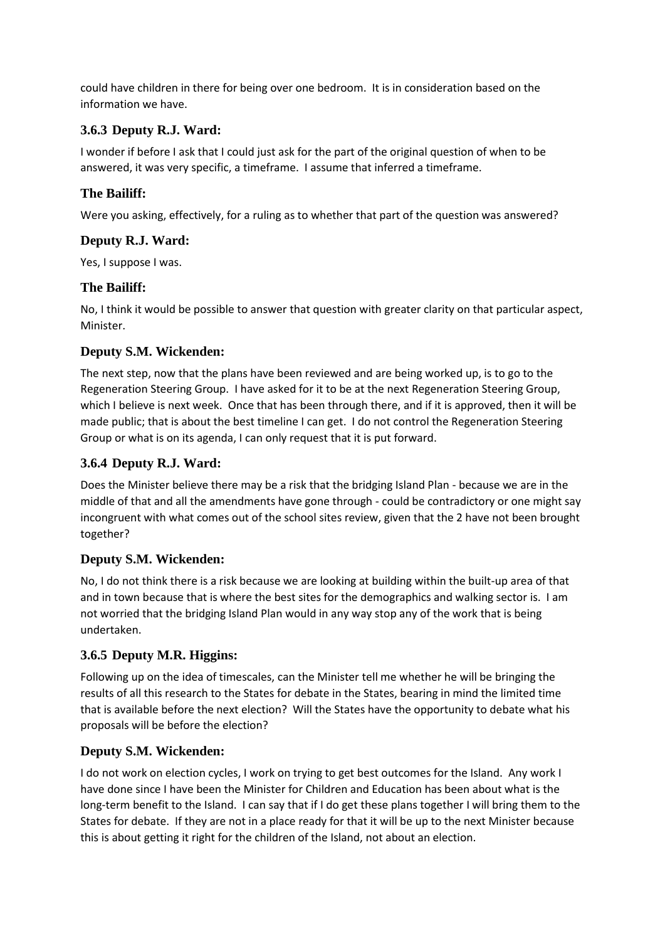could have children in there for being over one bedroom. It is in consideration based on the information we have.

# **3.6.3 Deputy R.J. Ward:**

I wonder if before I ask that I could just ask for the part of the original question of when to be answered, it was very specific, a timeframe. I assume that inferred a timeframe.

### **The Bailiff:**

Were you asking, effectively, for a ruling as to whether that part of the question was answered?

# **Deputy R.J. Ward:**

Yes, I suppose I was.

# **The Bailiff:**

No, I think it would be possible to answer that question with greater clarity on that particular aspect, Minister.

# **Deputy S.M. Wickenden:**

The next step, now that the plans have been reviewed and are being worked up, is to go to the Regeneration Steering Group. I have asked for it to be at the next Regeneration Steering Group, which I believe is next week. Once that has been through there, and if it is approved, then it will be made public; that is about the best timeline I can get. I do not control the Regeneration Steering Group or what is on its agenda, I can only request that it is put forward.

# **3.6.4 Deputy R.J. Ward:**

Does the Minister believe there may be a risk that the bridging Island Plan - because we are in the middle of that and all the amendments have gone through - could be contradictory or one might say incongruent with what comes out of the school sites review, given that the 2 have not been brought together?

### **Deputy S.M. Wickenden:**

No, I do not think there is a risk because we are looking at building within the built-up area of that and in town because that is where the best sites for the demographics and walking sector is. I am not worried that the bridging Island Plan would in any way stop any of the work that is being undertaken.

### **3.6.5 Deputy M.R. Higgins:**

Following up on the idea of timescales, can the Minister tell me whether he will be bringing the results of all this research to the States for debate in the States, bearing in mind the limited time that is available before the next election? Will the States have the opportunity to debate what his proposals will be before the election?

# **Deputy S.M. Wickenden:**

I do not work on election cycles, I work on trying to get best outcomes for the Island. Any work I have done since I have been the Minister for Children and Education has been about what is the long-term benefit to the Island. I can say that if I do get these plans together I will bring them to the States for debate. If they are not in a place ready for that it will be up to the next Minister because this is about getting it right for the children of the Island, not about an election.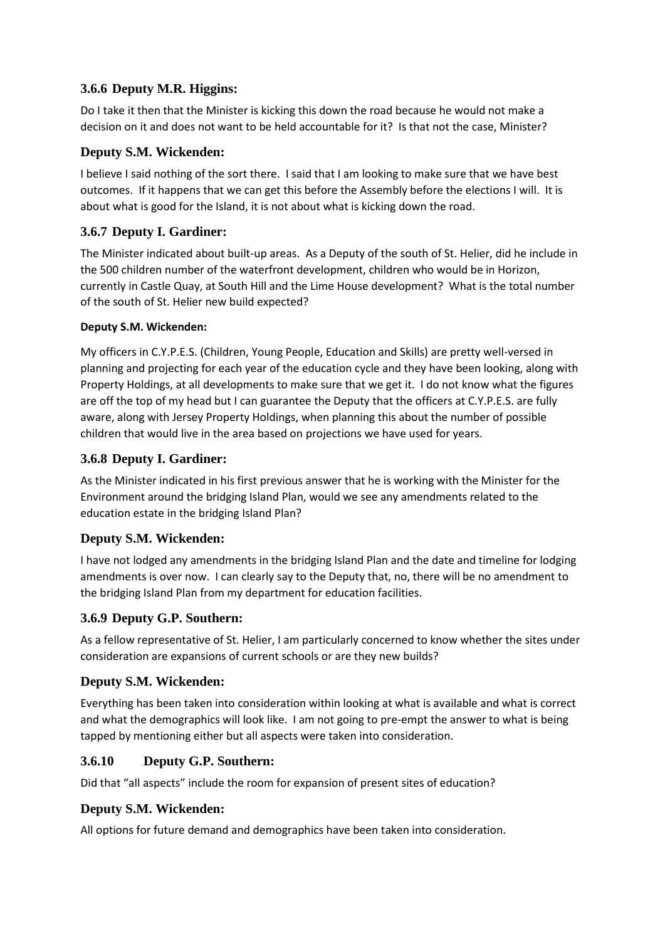# **3.6.6 Deputy M.R. Higgins:**

Do I take it then that the Minister is kicking this down the road because he would not make a decision on it and does not want to be held accountable for it? Is that not the case, Minister?

# **Deputy S.M. Wickenden:**

I believe I said nothing of the sort there. I said that I am looking to make sure that we have best outcomes. If it happens that we can get this before the Assembly before the elections I will. It is about what is good for the Island, it is not about what is kicking down the road.

# **3.6.7 Deputy I. Gardiner:**

The Minister indicated about built-up areas. As a Deputy of the south of St. Helier, did he include in the 500 children number of the waterfront development, children who would be in Horizon, currently in Castle Quay, at South Hill and the Lime House development? What is the total number of the south of St. Helier new build expected?

### **Deputy S.M. Wickenden:**

My officers in C.Y.P.E.S. (Children, Young People, Education and Skills) are pretty well-versed in planning and projecting for each year of the education cycle and they have been looking, along with Property Holdings, at all developments to make sure that we get it. I do not know what the figures are off the top of my head but I can guarantee the Deputy that the officers at C.Y.P.E.S. are fully aware, along with Jersey Property Holdings, when planning this about the number of possible children that would live in the area based on projections we have used for years.

### **3.6.8 Deputy I. Gardiner:**

As the Minister indicated in his first previous answer that he is working with the Minister for the Environment around the bridging Island Plan, would we see any amendments related to the education estate in the bridging Island Plan?

### **Deputy S.M. Wickenden:**

I have not lodged any amendments in the bridging Island Plan and the date and timeline for lodging amendments is over now. I can clearly say to the Deputy that, no, there will be no amendment to the bridging Island Plan from my department for education facilities.

### **3.6.9 Deputy G.P. Southern:**

As a fellow representative of St. Helier, I am particularly concerned to know whether the sites under consideration are expansions of current schools or are they new builds?

### **Deputy S.M. Wickenden:**

Everything has been taken into consideration within looking at what is available and what is correct and what the demographics will look like. I am not going to pre-empt the answer to what is being tapped by mentioning either but all aspects were taken into consideration.

### **3.6.10 Deputy G.P. Southern:**

Did that "all aspects" include the room for expansion of present sites of education?

### **Deputy S.M. Wickenden:**

All options for future demand and demographics have been taken into consideration.